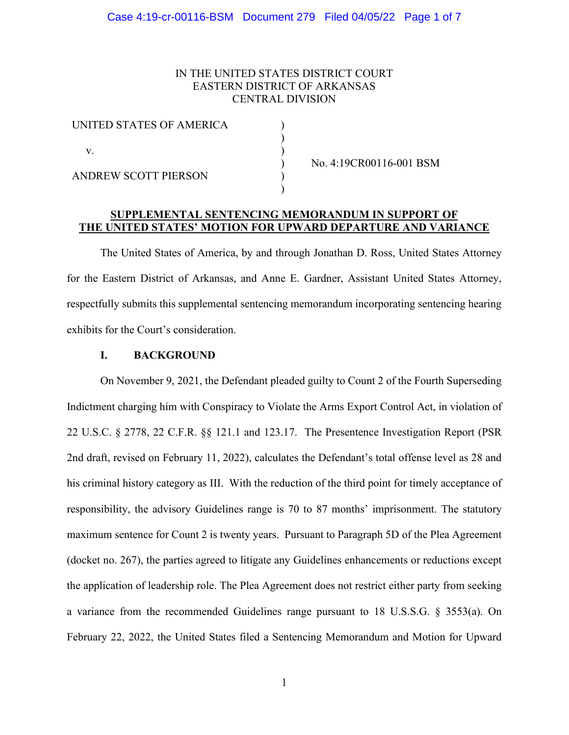# IN THE UNITED STATES DISTRICT COURT EASTERN DISTRICT OF ARKANSAS CENTRAL DIVISION

| UNITED STATES OF AMERICA |  |
|--------------------------|--|
| v                        |  |
| ANDREW SCOTT PIERSON     |  |

) No. 4:19CR00116-001 BSM

# **SUPPLEMENTAL SENTENCING MEMORANDUM IN SUPPORT OF THE UNITED STATES' MOTION FOR UPWARD DEPARTURE AND VARIANCE**

)

The United States of America, by and through Jonathan D. Ross, United States Attorney for the Eastern District of Arkansas, and Anne E. Gardner, Assistant United States Attorney, respectfully submits this supplemental sentencing memorandum incorporating sentencing hearing exhibits for the Court's consideration.

# **I. BACKGROUND**

On November 9, 2021, the Defendant pleaded guilty to Count 2 of the Fourth Superseding Indictment charging him with Conspiracy to Violate the Arms Export Control Act, in violation of 22 U.S.C. § 2778, 22 C.F.R. §§ 121.1 and 123.17. The Presentence Investigation Report (PSR 2nd draft, revised on February 11, 2022), calculates the Defendant's total offense level as 28 and his criminal history category as III. With the reduction of the third point for timely acceptance of responsibility, the advisory Guidelines range is 70 to 87 months' imprisonment. The statutory maximum sentence for Count 2 is twenty years. Pursuant to Paragraph 5D of the Plea Agreement (docket no. 267), the parties agreed to litigate any Guidelines enhancements or reductions except the application of leadership role. The Plea Agreement does not restrict either party from seeking a variance from the recommended Guidelines range pursuant to 18 U.S.S.G. § 3553(a). On February 22, 2022, the United States filed a Sentencing Memorandum and Motion for Upward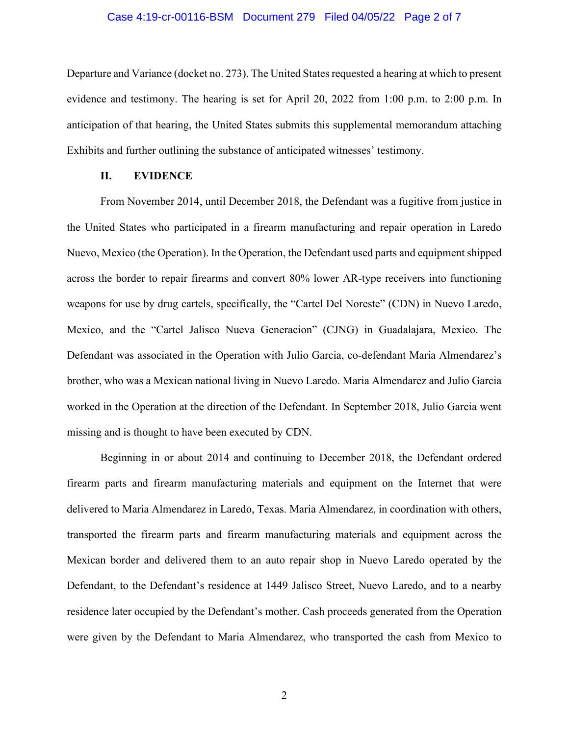### Case 4:19-cr-00116-BSM Document 279 Filed 04/05/22 Page 2 of 7

Departure and Variance (docket no. 273). The United States requested a hearing at which to present evidence and testimony. The hearing is set for April 20, 2022 from 1:00 p.m. to 2:00 p.m. In anticipation of that hearing, the United States submits this supplemental memorandum attaching Exhibits and further outlining the substance of anticipated witnesses' testimony.

# **II. EVIDENCE**

From November 2014, until December 2018, the Defendant was a fugitive from justice in the United States who participated in a firearm manufacturing and repair operation in Laredo Nuevo, Mexico (the Operation). In the Operation, the Defendant used parts and equipment shipped across the border to repair firearms and convert 80% lower AR-type receivers into functioning weapons for use by drug cartels, specifically, the "Cartel Del Noreste" (CDN) in Nuevo Laredo, Mexico, and the "Cartel Jalisco Nueva Generacion" (CJNG) in Guadalajara, Mexico. The Defendant was associated in the Operation with Julio Garcia, co-defendant Maria Almendarez's brother, who was a Mexican national living in Nuevo Laredo. Maria Almendarez and Julio Garcia worked in the Operation at the direction of the Defendant. In September 2018, Julio Garcia went missing and is thought to have been executed by CDN.

Beginning in or about 2014 and continuing to December 2018, the Defendant ordered firearm parts and firearm manufacturing materials and equipment on the Internet that were delivered to Maria Almendarez in Laredo, Texas. Maria Almendarez, in coordination with others, transported the firearm parts and firearm manufacturing materials and equipment across the Mexican border and delivered them to an auto repair shop in Nuevo Laredo operated by the Defendant, to the Defendant's residence at 1449 Jalisco Street, Nuevo Laredo, and to a nearby residence later occupied by the Defendant's mother. Cash proceeds generated from the Operation were given by the Defendant to Maria Almendarez, who transported the cash from Mexico to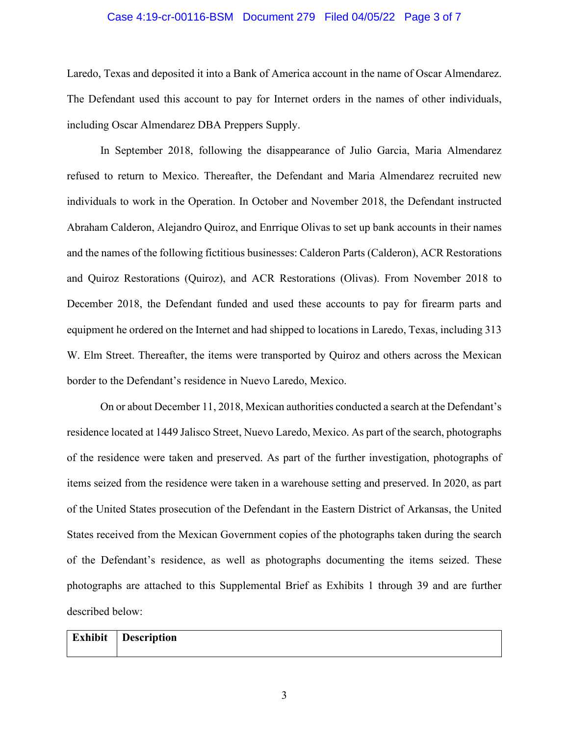### Case 4:19-cr-00116-BSM Document 279 Filed 04/05/22 Page 3 of 7

Laredo, Texas and deposited it into a Bank of America account in the name of Oscar Almendarez. The Defendant used this account to pay for Internet orders in the names of other individuals, including Oscar Almendarez DBA Preppers Supply.

In September 2018, following the disappearance of Julio Garcia, Maria Almendarez refused to return to Mexico. Thereafter, the Defendant and Maria Almendarez recruited new individuals to work in the Operation. In October and November 2018, the Defendant instructed Abraham Calderon, Alejandro Quiroz, and Enrrique Olivas to set up bank accounts in their names and the names of the following fictitious businesses: Calderon Parts (Calderon), ACR Restorations and Quiroz Restorations (Quiroz), and ACR Restorations (Olivas). From November 2018 to December 2018, the Defendant funded and used these accounts to pay for firearm parts and equipment he ordered on the Internet and had shipped to locations in Laredo, Texas, including 313 W. Elm Street. Thereafter, the items were transported by Quiroz and others across the Mexican border to the Defendant's residence in Nuevo Laredo, Mexico.

On or about December 11, 2018, Mexican authorities conducted a search at the Defendant's residence located at 1449 Jalisco Street, Nuevo Laredo, Mexico. As part of the search, photographs of the residence were taken and preserved. As part of the further investigation, photographs of items seized from the residence were taken in a warehouse setting and preserved. In 2020, as part of the United States prosecution of the Defendant in the Eastern District of Arkansas, the United States received from the Mexican Government copies of the photographs taken during the search of the Defendant's residence, as well as photographs documenting the items seized. These photographs are attached to this Supplemental Brief as Exhibits 1 through 39 and are further described below:

# **Exhibit Description**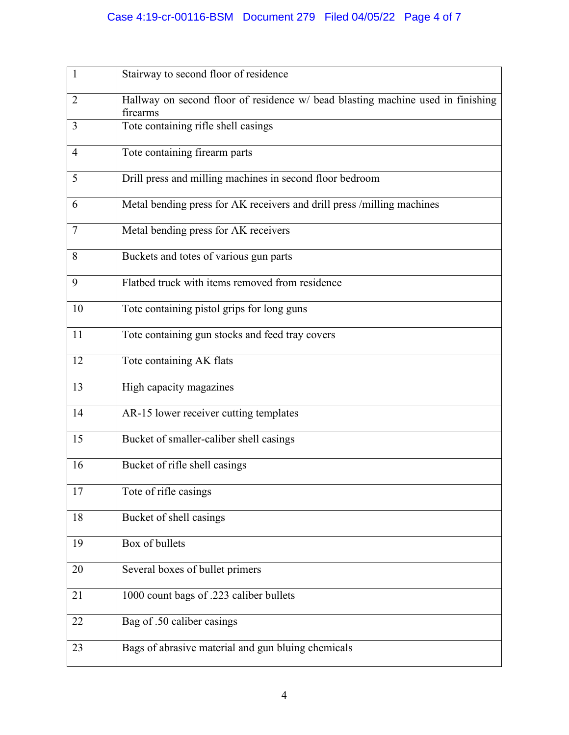# Case 4:19-cr-00116-BSM Document 279 Filed 04/05/22 Page 4 of 7

| $\mathbf{1}$   | Stairway to second floor of residence                                                       |
|----------------|---------------------------------------------------------------------------------------------|
| $\overline{2}$ | Hallway on second floor of residence w/ bead blasting machine used in finishing<br>firearms |
| 3              | Tote containing rifle shell casings                                                         |
| 4              | Tote containing firearm parts                                                               |
| 5              | Drill press and milling machines in second floor bedroom                                    |
| 6              | Metal bending press for AK receivers and drill press /milling machines                      |
| 7              | Metal bending press for AK receivers                                                        |
| 8              | Buckets and totes of various gun parts                                                      |
| 9              | Flatbed truck with items removed from residence                                             |
| 10             | Tote containing pistol grips for long guns                                                  |
| 11             | Tote containing gun stocks and feed tray covers                                             |
| 12             | Tote containing AK flats                                                                    |
| 13             | High capacity magazines                                                                     |
| 14             | AR-15 lower receiver cutting templates                                                      |
| 15             | Bucket of smaller-caliber shell casings                                                     |
| 16             | Bucket of rifle shell casings                                                               |
| 17             | Tote of rifle casings                                                                       |
| 18             | Bucket of shell casings                                                                     |
| 19             | Box of bullets                                                                              |
| 20             | Several boxes of bullet primers                                                             |
| 21             | 1000 count bags of .223 caliber bullets                                                     |
| 22             | Bag of .50 caliber casings                                                                  |
| 23             | Bags of abrasive material and gun bluing chemicals                                          |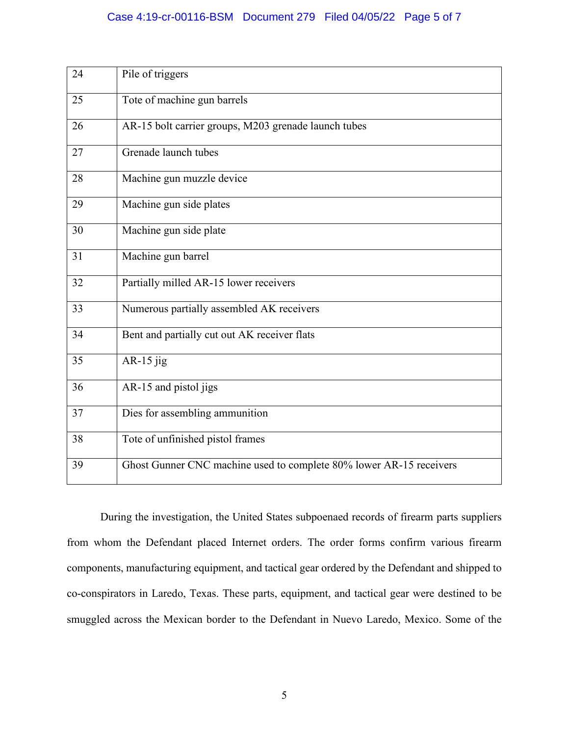# Case 4:19-cr-00116-BSM Document 279 Filed 04/05/22 Page 5 of 7

| 24 | Pile of triggers                                                    |
|----|---------------------------------------------------------------------|
| 25 | Tote of machine gun barrels                                         |
| 26 | AR-15 bolt carrier groups, M203 grenade launch tubes                |
| 27 | Grenade launch tubes                                                |
| 28 | Machine gun muzzle device                                           |
| 29 | Machine gun side plates                                             |
| 30 | Machine gun side plate                                              |
| 31 | Machine gun barrel                                                  |
| 32 | Partially milled AR-15 lower receivers                              |
| 33 | Numerous partially assembled AK receivers                           |
| 34 | Bent and partially cut out AK receiver flats                        |
| 35 | AR-15 $jig$                                                         |
| 36 | AR-15 and pistol jigs                                               |
| 37 | Dies for assembling ammunition                                      |
| 38 | Tote of unfinished pistol frames                                    |
| 39 | Ghost Gunner CNC machine used to complete 80% lower AR-15 receivers |

During the investigation, the United States subpoenaed records of firearm parts suppliers from whom the Defendant placed Internet orders. The order forms confirm various firearm components, manufacturing equipment, and tactical gear ordered by the Defendant and shipped to co-conspirators in Laredo, Texas. These parts, equipment, and tactical gear were destined to be smuggled across the Mexican border to the Defendant in Nuevo Laredo, Mexico. Some of the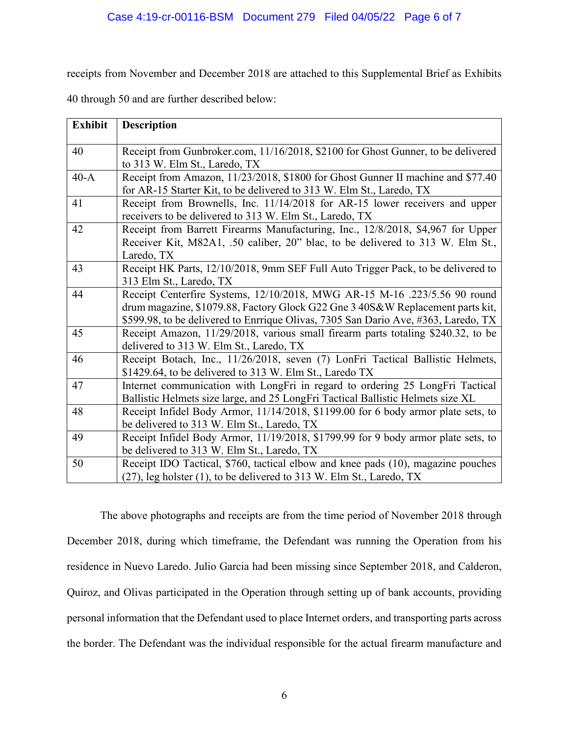receipts from November and December 2018 are attached to this Supplemental Brief as Exhibits

40 through 50 and are further described below:

| <b>Exhibit</b> | <b>Description</b>                                                                 |
|----------------|------------------------------------------------------------------------------------|
|                |                                                                                    |
| 40             | Receipt from Gunbroker.com, 11/16/2018, \$2100 for Ghost Gunner, to be delivered   |
|                | to 313 W. Elm St., Laredo, TX                                                      |
| $40-A$         | Receipt from Amazon, 11/23/2018, \$1800 for Ghost Gunner II machine and \$77.40    |
|                | for AR-15 Starter Kit, to be delivered to 313 W. Elm St., Laredo, TX               |
| 41             | Receipt from Brownells, Inc. 11/14/2018 for AR-15 lower receivers and upper        |
|                | receivers to be delivered to 313 W. Elm St., Laredo, TX                            |
| 42             | Receipt from Barrett Firearms Manufacturing, Inc., 12/8/2018, \$4,967 for Upper    |
|                | Receiver Kit, M82A1, .50 caliber, 20" blac, to be delivered to 313 W. Elm St.,     |
|                | Laredo, TX                                                                         |
| 43             | Receipt HK Parts, 12/10/2018, 9mm SEF Full Auto Trigger Pack, to be delivered to   |
|                | 313 Elm St., Laredo, TX                                                            |
| 44             | Receipt Centerfire Systems, 12/10/2018, MWG AR-15 M-16 .223/5.56 90 round          |
|                | drum magazine, \$1079.88, Factory Glock G22 Gne 3 40S&W Replacement parts kit,     |
|                | \$599.98, to be delivered to Enrrique Olivas, 7305 San Dario Ave, #363, Laredo, TX |
| 45             | Receipt Amazon, 11/29/2018, various small firearm parts totaling \$240.32, to be   |
|                | delivered to 313 W. Elm St., Laredo, TX                                            |
| 46             | Receipt Botach, Inc., 11/26/2018, seven (7) LonFri Tactical Ballistic Helmets,     |
|                | \$1429.64, to be delivered to 313 W. Elm St., Laredo TX                            |
| 47             | Internet communication with LongFri in regard to ordering 25 LongFri Tactical      |
|                | Ballistic Helmets size large, and 25 LongFri Tactical Ballistic Helmets size XL    |
| 48             | Receipt Infidel Body Armor, 11/14/2018, \$1199.00 for 6 body armor plate sets, to  |
|                | be delivered to 313 W. Elm St., Laredo, TX                                         |
| 49             | Receipt Infidel Body Armor, 11/19/2018, \$1799.99 for 9 body armor plate sets, to  |
|                | be delivered to 313 W. Elm St., Laredo, TX                                         |
| 50             | Receipt IDO Tactical, \$760, tactical elbow and knee pads (10), magazine pouches   |
|                | $(27)$ , leg holster $(1)$ , to be delivered to 313 W. Elm St., Laredo, TX         |

The above photographs and receipts are from the time period of November 2018 through December 2018, during which timeframe, the Defendant was running the Operation from his residence in Nuevo Laredo. Julio Garcia had been missing since September 2018, and Calderon, Quiroz, and Olivas participated in the Operation through setting up of bank accounts, providing personal information that the Defendant used to place Internet orders, and transporting parts across the border. The Defendant was the individual responsible for the actual firearm manufacture and